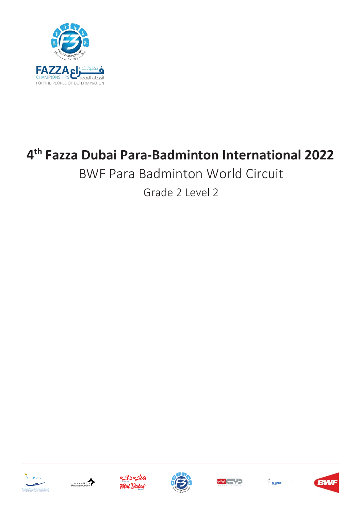

# **4 th Fazza Dubai Para-Badminton International 2022**

# BWF Para Badminton World Circuit

Grade 2 Level 2











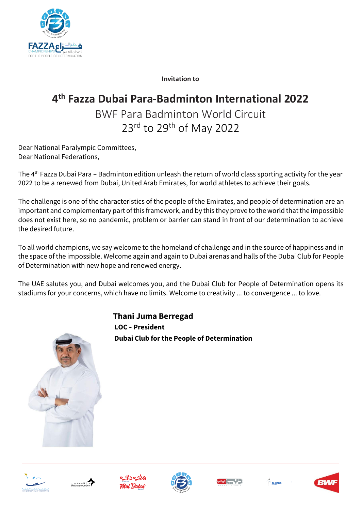

**Invitation to**

## **4 th Fazza Dubai Para-Badminton International 2022**

BWF Para Badminton World Circuit 23rd to 29th of May 2022

Dear National Paralympic Committees, Dear National Federations,

The 4 th Fazza Dubai Para – Badminton edition unleash the return of world class sporting activity for the year 2022 to be a renewed from Dubai, United Arab Emirates, for world athletes to achieve their goals.

The challenge is one of the characteristics of the people of the Emirates, and people of determination are an important and complementary part of this framework, and by this they prove to the world that the impossible does not exist here, so no pandemic, problem or barrier can stand in front of our determination to achieve the desired future.

To all world champions, we say welcome to the homeland of challenge and in the source of happiness and in the space of the impossible. Welcome again and again to Dubai arenas and halls of the Dubai Club for People of Determination with new hope and renewed energy.

The UAE salutes you, and Dubai welcomes you, and the Dubai Club for People of Determination opens its stadiums for your concerns, which have no limits. Welcome to creativity ... to convergence ... to love.



 **Thani Juma Berregad LOC - President Dubai Club for the People of Determination**











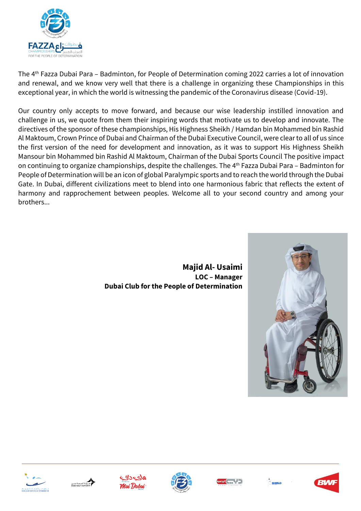

The 4 th Fazza Dubai Para – Badminton, for People of Determination coming 2022 carries a lot of innovation and renewal, and we know very well that there is a challenge in organizing these Championships in this exceptional year, in which the world is witnessing the pandemic of the Coronavirus disease (Covid-19).

Our country only accepts to move forward, and because our wise leadership instilled innovation and challenge in us, we quote from them their inspiring words that motivate us to develop and innovate. The directives of the sponsor of these championships, His Highness Sheikh / Hamdan bin Mohammed bin Rashid Al Maktoum, Crown Prince of Dubai and Chairman of the Dubai Executive Council, were clear to all of us since the first version of the need for development and innovation, as it was to support His Highness Sheikh Mansour bin Mohammed bin Rashid Al Maktoum, Chairman of the Dubai Sports Council The positive impact on continuing to organize championships, despite the challenges. The 4 th Fazza Dubai Para – Badminton for People of Determination will be an icon of global Paralympic sports and to reach the world through the Dubai Gate. In Dubai, different civilizations meet to blend into one harmonious fabric that reflects the extent of harmony and rapprochement between peoples. Welcome all to your second country and among your brothers...

 **Majid Al- Usaimi LOC – Manager Dubai Club for the People of Determination**















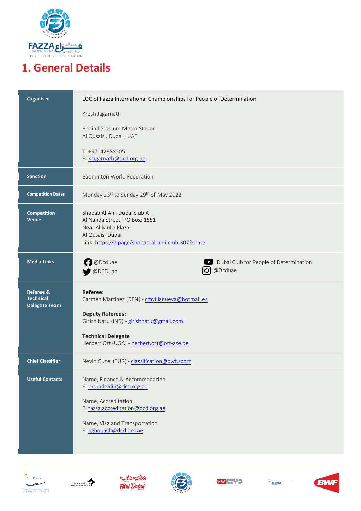

## **1. General Details**

| Organiser                                                        | LOC of Fazza International Championships for People of Determination                                                                                                                                                 |
|------------------------------------------------------------------|----------------------------------------------------------------------------------------------------------------------------------------------------------------------------------------------------------------------|
|                                                                  | Kresh Jagarnath                                                                                                                                                                                                      |
|                                                                  | Behind Stadium Metro Station<br>Al Qusais, Dubai, UAE                                                                                                                                                                |
|                                                                  | T: +97142988205<br>E: kjagarnath@dcd.org.ae                                                                                                                                                                          |
| <b>Sanction</b>                                                  | <b>Badminton World Federation</b>                                                                                                                                                                                    |
| <b>Competition Dates</b>                                         | Monday 23rd to Sunday 29th of May 2022                                                                                                                                                                               |
| Competition<br><b>Venue</b>                                      | Shabab Al Ahli Dubai club A<br>Al Nahda Street, PO Box: 1551<br>Near Al Mulla Plaza<br>Al Qusais, Dubai<br>Link: https://g.page/shabab-al-ahli-club-307?share                                                        |
| <b>Media Links</b>                                               | <b>D</b> @Dcduae<br>Dubai Club for People of Determination<br>$\blacktriangleright$<br>@Dcduae<br>[O]<br>@DCDuae                                                                                                     |
| <b>Referee &amp;</b><br><b>Technical</b><br><b>Delegate Team</b> | <b>Referee:</b><br>Carmen Martinez (DEN) - cmvillanueva@hotmail.es<br><b>Deputy Referees:</b><br>Girish Natu (IND) - girishnatu@gmail.com<br><b>Technical Delegate</b><br>Herbert Ott (UGA) - herbert.ott@ott-ase.de |
| <b>Chief Classifier</b>                                          | Nevin Guzel (TUR) - classification@bwf.sport                                                                                                                                                                         |
| <b>Useful Contacts</b>                                           | Name, Finance & Accommodation<br>E: msaadeldin@dcd.org.ae<br>Name, Accreditation<br>E: fazza.accreditation@dcd.org.ae<br>Name, Visa and Transportation<br>E: aghobash@dcd.org.ae                                     |











 $\sum_{i=1}^{N}$  shiifild.

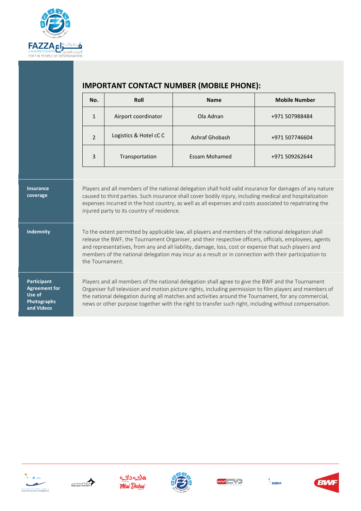

|                              | No.             | Roll                                       | <b>Name</b>                                                                                                                                                                                                                                                                                                                    | <b>Mobile Number</b> |
|------------------------------|-----------------|--------------------------------------------|--------------------------------------------------------------------------------------------------------------------------------------------------------------------------------------------------------------------------------------------------------------------------------------------------------------------------------|----------------------|
|                              | $\mathbf{1}$    | Airport coordinator                        | Ola Adnan                                                                                                                                                                                                                                                                                                                      | +971 507988484       |
|                              | $\overline{2}$  | Logistics & Hotel cC C                     | Ashraf Ghobash                                                                                                                                                                                                                                                                                                                 | +971 507746604       |
|                              | 3               | Transportation                             | <b>Essam Mohamed</b>                                                                                                                                                                                                                                                                                                           | +971 509262644       |
|                              |                 | injured party to its country of residence. |                                                                                                                                                                                                                                                                                                                                |                      |
| <b>Insurance</b><br>coverage |                 |                                            | Players and all members of the national delegation shall hold valid insurance for damages of any nature<br>caused to third parties. Such insurance shall cover bodily injury, including medical and hospitalization<br>expenses incurred in the host country, as well as all expenses and costs associated to repatriating the |                      |
| <b>Indemnity</b>             |                 |                                            | To the extent permitted by applicable law, all players and members of the national delegation shall                                                                                                                                                                                                                            |                      |
|                              | the Tournament. |                                            | release the BWF, the Tournament Organiser, and their respective officers, officials, employees, agents<br>and representatives, from any and all liability, damage, loss, cost or expense that such players and<br>members of the national delegation may incur as a result or in connection with their participation to        |                      |









![](_page_4_Picture_9.jpeg)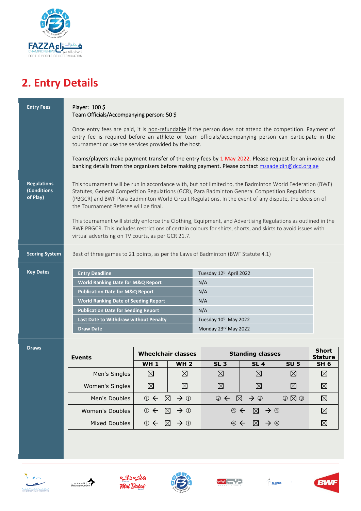![](_page_5_Picture_0.jpeg)

## **2. Entry Details**

| <b>Entry Fees</b>                             | Player: 100\$<br>Team Officials/Accompanying person: 50\$                                                                                                                                                                                                                                                                                                                                                                                                                                                                                                                                                                                             |                           |                                |                                                         |                                                            |                     |                                |
|-----------------------------------------------|-------------------------------------------------------------------------------------------------------------------------------------------------------------------------------------------------------------------------------------------------------------------------------------------------------------------------------------------------------------------------------------------------------------------------------------------------------------------------------------------------------------------------------------------------------------------------------------------------------------------------------------------------------|---------------------------|--------------------------------|---------------------------------------------------------|------------------------------------------------------------|---------------------|--------------------------------|
|                                               | Once entry fees are paid, it is non-refundable if the person does not attend the competition. Payment of<br>entry fee is required before an athlete or team officials/accompanying person can participate in the<br>tournament or use the services provided by the host.                                                                                                                                                                                                                                                                                                                                                                              |                           |                                |                                                         |                                                            |                     |                                |
|                                               | Teams/players make payment transfer of the entry fees by 1 May 2022. Please request for an invoice and<br>banking details from the organisers before making payment. Please contact msaadeldin@dcd.org.ae                                                                                                                                                                                                                                                                                                                                                                                                                                             |                           |                                |                                                         |                                                            |                     |                                |
| <b>Regulations</b><br>(Conditions<br>of Play) | This tournament will be run in accordance with, but not limited to, the Badminton World Federation (BWF)<br>Statutes, General Competition Regulations (GCR), Para Badminton General Competition Regulations<br>(PBGCR) and BWF Para Badminton World Circuit Regulations. In the event of any dispute, the decision of<br>the Tournament Referee will be final.<br>This tournament will strictly enforce the Clothing, Equipment, and Advertising Regulations as outlined in the<br>BWF PBGCR. This includes restrictions of certain colours for shirts, shorts, and skirts to avoid issues with<br>virtual advertising on TV courts, as per GCR 21.7. |                           |                                |                                                         |                                                            |                     |                                |
| <b>Scoring System</b>                         | Best of three games to 21 points, as per the Laws of Badminton (BWF Statute 4.1)                                                                                                                                                                                                                                                                                                                                                                                                                                                                                                                                                                      |                           |                                |                                                         |                                                            |                     |                                |
| <b>Key Dates</b>                              | <b>Entry Deadline</b><br>Tuesday 12th April 2022<br><b>World Ranking Date for M&amp;Q Report</b><br>N/A<br><b>Publication Date for M&amp;Q Report</b><br>N/A                                                                                                                                                                                                                                                                                                                                                                                                                                                                                          |                           |                                |                                                         |                                                            |                     |                                |
|                                               | N/A<br><b>World Ranking Date of Seeding Report</b><br><b>Publication Date for Seeding Report</b><br>N/A                                                                                                                                                                                                                                                                                                                                                                                                                                                                                                                                               |                           |                                |                                                         |                                                            |                     |                                |
|                                               | Last Date to Withdraw without Penalty<br>Tuesday 10th May 2022                                                                                                                                                                                                                                                                                                                                                                                                                                                                                                                                                                                        |                           |                                |                                                         |                                                            |                     |                                |
|                                               | <b>Draw Date</b>                                                                                                                                                                                                                                                                                                                                                                                                                                                                                                                                                                                                                                      |                           |                                | Monday 23rd May 2022                                    |                                                            |                     |                                |
|                                               |                                                                                                                                                                                                                                                                                                                                                                                                                                                                                                                                                                                                                                                       |                           |                                |                                                         |                                                            |                     |                                |
| <b>Draws</b>                                  | <b>Events</b>                                                                                                                                                                                                                                                                                                                                                                                                                                                                                                                                                                                                                                         | <b>Wheelchair classes</b> |                                | <b>Standing classes</b>                                 |                                                            |                     | <b>Short</b><br><b>Stature</b> |
|                                               |                                                                                                                                                                                                                                                                                                                                                                                                                                                                                                                                                                                                                                                       | <b>WH1</b>                | <b>WH 2</b>                    | <b>SL 3</b>                                             | <b>SL 4</b>                                                | <b>SU 5</b>         | SH <sub>6</sub>                |
|                                               | Men's Singles                                                                                                                                                                                                                                                                                                                                                                                                                                                                                                                                                                                                                                         | $\boxtimes$               | $\boxtimes$                    | $\boxtimes$                                             | $\boxtimes$                                                | $\boxtimes$         | $\boxtimes$                    |
|                                               | Women's Singles                                                                                                                                                                                                                                                                                                                                                                                                                                                                                                                                                                                                                                       | $\boxtimes$               | $\boxtimes$                    | $\boxtimes$                                             | $\boxtimes$                                                | $\boxtimes$         | $\boxtimes$                    |
|                                               | Men's Doubles                                                                                                                                                                                                                                                                                                                                                                                                                                                                                                                                                                                                                                         | $\rightarrow$ 0           | $\boxtimes$<br>$\rightarrow$ 0 | $\odot$                                                 | $\rightarrow$ ②<br>$\boxtimes$                             | $O$ $\boxtimes$ $O$ | $\boxtimes$                    |
|                                               | Women's Doubles                                                                                                                                                                                                                                                                                                                                                                                                                                                                                                                                                                                                                                       | $\rightarrow$ 0           | $\boxtimes$<br>$\rightarrow$ 0 | $\oplus$ $\leftarrow$<br>$\boxtimes$<br>$\rightarrow$ 4 |                                                            |                     | ⊠                              |
|                                               | Mixed Doubles                                                                                                                                                                                                                                                                                                                                                                                                                                                                                                                                                                                                                                         | $\rightarrow$ 0           | $\boxtimes$<br>$\rightarrow$ 0 |                                                         | $\oplus$ $\leftarrow$<br>$\rightarrow$ $\circledcirc$<br>⊠ |                     | ⊠                              |
|                                               |                                                                                                                                                                                                                                                                                                                                                                                                                                                                                                                                                                                                                                                       |                           |                                |                                                         |                                                            |                     |                                |

![](_page_5_Picture_3.jpeg)

![](_page_5_Picture_4.jpeg)

![](_page_5_Picture_5.jpeg)

![](_page_5_Picture_6.jpeg)

![](_page_5_Picture_7.jpeg)

![](_page_5_Picture_9.jpeg)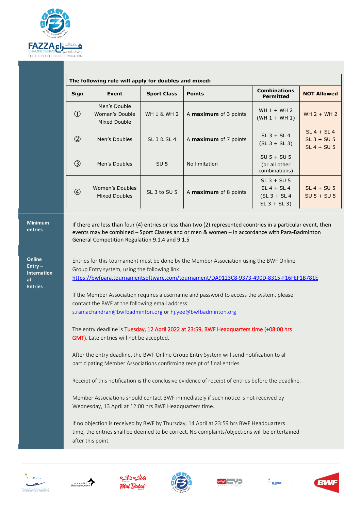![](_page_6_Picture_0.jpeg)

| The following rule will apply for doubles and mixed: |                                                |                        |                              |                                                                       |                                                 |
|------------------------------------------------------|------------------------------------------------|------------------------|------------------------------|-----------------------------------------------------------------------|-------------------------------------------------|
| <b>Sign</b>                                          | Event                                          | <b>Sport Class</b>     | <b>Points</b>                | <b>Combinations</b><br><b>Permitted</b>                               | <b>NOT Allowed</b>                              |
| (1)                                                  | Men's Double<br>Women's Double<br>Mixed Double | <b>WH 1 &amp; WH 2</b> | A <b>maximum</b> of 3 points | WH $1 + WH$ 2<br>$(WH 1 + WH 1)$                                      | $WH 2 + WH 2$                                   |
| (2)                                                  | Men's Doubles                                  | SL 3 & SL 4            | A <b>maximum</b> of 7 points | $SL$ 3 + $SL$ 4<br>$(SL 3 + SL 3)$                                    | $SL 4 + SL 4$<br>$SL$ 3 + SU 5<br>$SL 4 + SU 5$ |
| $\circled{3}$                                        | Men's Doubles                                  | SU <sub>5</sub>        | No limitation                | $SU 5 + SU 5$<br>(or all other<br>combinations)                       |                                                 |
| $\circled{4}$                                        | Women's Doubles<br>Mixed Doubles               | SL 3 to SU 5           | A maximum of 8 points        | $SL$ 3 + SU 5<br>$SL 4 + SL 4$<br>$(SL 3 + SL 4)$<br>$SL$ 3 + $SL$ 3) | $SL 4 + SU 5$<br>$SU 5 + SU 5$                  |

#### **Minimum entries**

**Online Entry – Internation al Entries**

If there are less than four (4) entries or less than two (2) represented countries in a particular event, then events may be combined – Sport Classes and or men & women – in accordance with Para-Badminton General Competition Regulation 9.1.4 and 9.1.5

Entries for this tournament must be done by the Member Association using the BWF Online Group Entry system, using the following link: <https://bwfpara.tournamentsoftware.com/tournament/DA9123C8-9373-490D-8315-F16FEF1B781E>

If the Member Association requires a username and password to access the system, please contact the BWF at the following email address: [s.ramachandran@bwfbadminton.org](mailto:s.ramachandran@bwfbadminton.org) o[r hj.yee@bwfbadminton.org](mailto:hj.yee@bwfbadminton.org)

The entry deadline is Tuesday, 12 April 2022 at 23:59, BWF Headquarters time (+08:00 hrs GMT). Late entries will not be accepted.

After the entry deadline, the BWF Online Group Entry System will send notification to all participating Member Associations confirming receipt of final entries.

Receipt of this notification is the conclusive evidence of receipt of entries before the deadline.

Member Associations should contact BWF immediately if such notice is not received by Wednesday, 13 April at 12:00 hrs BWF Headquarters time.

If no objection is received by BWF by Thursday, 14 April at 23:59 hrs BWF Headquarters time, the entries shall be deemed to be correct. No complaints/objections will be entertained after this point.

![](_page_6_Picture_13.jpeg)

![](_page_6_Picture_14.jpeg)

![](_page_6_Picture_15.jpeg)

![](_page_6_Picture_16.jpeg)

![](_page_6_Picture_17.jpeg)

![](_page_6_Picture_18.jpeg)

![](_page_6_Picture_19.jpeg)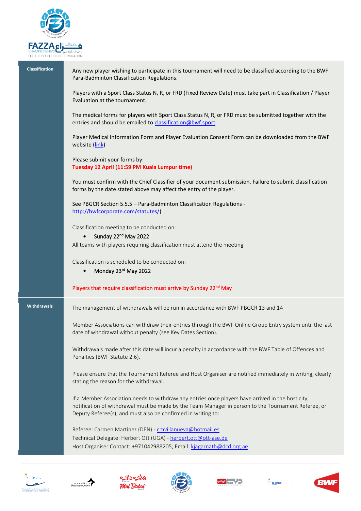![](_page_7_Picture_0.jpeg)

**Classification** Any new player wishing to participate in this tournament will need to be classified according to the BWF Para-Badminton Classification Regulations.

> Players with a Sport Class Status N, R, or FRD (Fixed Review Date) must take part in Classification / Player Evaluation at the tournament.

The medical forms for players with Sport Class Status N, R, or FRD must be submitted together with the entries and should be emailed to [classification@bwf.sport](mailto:classification@bwf.sport)

Player Medical Information Form and Player Evaluation Consent Form can be downloaded from the BWF website [\(link\)](http://bwfcorporate.com/para-badminton/classification/)

Please submit your forms by: **Tuesday 12 April (11:59 PM Kuala Lumpur time)**

You must confirm with the Chief Classifier of your document submission. Failure to submit classification forms by the date stated above may affect the entry of the player.

See PBGCR Section 5.5.5 – Para-Badminton Classification Regulations [http://bwfcorporate.com/statutes/\)](http://bwfcorporate.com/statutes/)

Classification meeting to be conducted on:

• Sunday 22<sup>nd</sup> May 2022

All teams with players requiring classification must attend the meeting

Classification is scheduled to be conducted on:

• Monday 23<sup>rd</sup> May 2022

#### Players that require classification must arrive by Sunday 22<sup>nd</sup> May

**Withdrawals** The management of withdrawals will be run in accordance with BWF PBGCR 13 and 14

Member Associations can withdraw their entries through the BWF Online Group Entry system until the last date of withdrawal without penalty (see Key Dates Section).

Withdrawals made after this date will incur a penalty in accordance with the BWF Table of Offences and Penalties (BWF Statute 2.6).

Please ensure that the Tournament Referee and Host Organiser are notified immediately in writing, clearly stating the reason for the withdrawal.

If a Member Association needs to withdraw any entries once players have arrived in the host city, notification of withdrawal must be made by the Team Manager in person to the Tournament Referee, or Deputy Referee(s), and must also be confirmed in writing to:

Referee: Carmen Martinez (DEN) - [cmvillanueva@hotmail.es](mailto:cmvillanueva@hotmail.es) Technical Delegate: Herbert Ott (UGA) - [herbert.ott@ott-ase.de](mailto:herbert.ott@ott-ase.de) Host Organiser Contact: +971042988205; Email: [kjagarnath@dcd.org.ae](mailto:kjagarnath@dcd.org.ae)

![](_page_7_Picture_22.jpeg)

![](_page_7_Picture_23.jpeg)

![](_page_7_Picture_24.jpeg)

![](_page_7_Picture_25.jpeg)

![](_page_7_Picture_26.jpeg)

![](_page_7_Picture_27.jpeg)

![](_page_7_Picture_28.jpeg)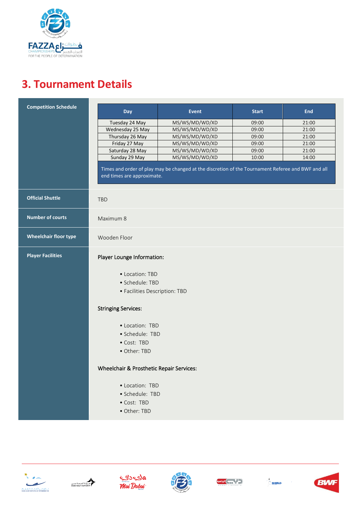![](_page_8_Picture_0.jpeg)

### **3. Tournament Details**

| <b>Competition Schedule</b>  | Day                                      | <b>Event</b>                                                                                       | <b>Start</b> | <b>End</b> |
|------------------------------|------------------------------------------|----------------------------------------------------------------------------------------------------|--------------|------------|
|                              | Tuesday 24 May                           | MS/WS/MD/WD/XD                                                                                     | 09:00        | 21:00      |
|                              | Wednesday 25 May                         | MS/WS/MD/WD/XD                                                                                     | 09:00        | 21:00      |
|                              | Thursday 26 May                          | MS/WS/MD/WD/XD                                                                                     | 09:00        | 21:00      |
|                              | Friday 27 May                            | MS/WS/MD/WD/XD                                                                                     | 09:00        | 21:00      |
|                              | Saturday 28 May                          | MS/WS/MD/WD/XD                                                                                     | 09:00        | 21:00      |
|                              | Sunday 29 May                            | MS/WS/MD/WD/XD                                                                                     | 10:00        | 14:00      |
|                              | end times are approximate.               | Times and order of play may be changed at the discretion of the Tournament Referee and BWF and all |              |            |
| <b>Official Shuttle</b>      | <b>TBD</b>                               |                                                                                                    |              |            |
| <b>Number of courts</b>      | Maximum 8                                |                                                                                                    |              |            |
| <b>Wheelchair floor type</b> | Wooden Floor                             |                                                                                                    |              |            |
| <b>Player Facilities</b>     | Player Lounge Information:               |                                                                                                    |              |            |
|                              | • Location: TBD                          |                                                                                                    |              |            |
|                              | · Schedule: TBD                          |                                                                                                    |              |            |
|                              | • Facilities Description: TBD            |                                                                                                    |              |            |
|                              | <b>Stringing Services:</b>               |                                                                                                    |              |            |
|                              | • Location: TBD                          |                                                                                                    |              |            |
|                              | · Schedule: TBD                          |                                                                                                    |              |            |
|                              | • Cost: TBD                              |                                                                                                    |              |            |
|                              | • Other: TBD                             |                                                                                                    |              |            |
|                              | Wheelchair & Prosthetic Repair Services: |                                                                                                    |              |            |
|                              | • Location: TBD                          |                                                                                                    |              |            |
|                              | · Schedule: TBD                          |                                                                                                    |              |            |
|                              | • Cost: TBD                              |                                                                                                    |              |            |
|                              | • Other: TBD                             |                                                                                                    |              |            |

![](_page_8_Picture_3.jpeg)

![](_page_8_Picture_4.jpeg)

![](_page_8_Picture_5.jpeg)

![](_page_8_Picture_6.jpeg)

![](_page_8_Picture_7.jpeg)

![](_page_8_Picture_9.jpeg)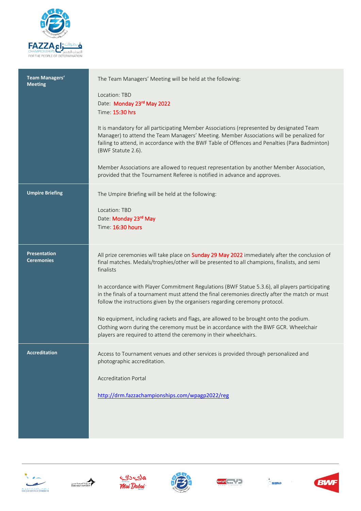![](_page_9_Picture_0.jpeg)

| <b>Team Managers'</b><br><b>Meeting</b> | The Team Managers' Meeting will be held at the following:                                                                                                                                                                                                                                                     |
|-----------------------------------------|---------------------------------------------------------------------------------------------------------------------------------------------------------------------------------------------------------------------------------------------------------------------------------------------------------------|
|                                         | Location: TBD<br>Date: Monday 23rd May 2022                                                                                                                                                                                                                                                                   |
|                                         | Time: 15:30 hrs                                                                                                                                                                                                                                                                                               |
|                                         | It is mandatory for all participating Member Associations (represented by designated Team<br>Manager) to attend the Team Managers' Meeting. Member Associations will be penalized for<br>failing to attend, in accordance with the BWF Table of Offences and Penalties (Para Badminton)<br>(BWF Statute 2.6). |
|                                         | Member Associations are allowed to request representation by another Member Association,<br>provided that the Tournament Referee is notified in advance and approves.                                                                                                                                         |
| <b>Umpire Briefing</b>                  | The Umpire Briefing will be held at the following:                                                                                                                                                                                                                                                            |
|                                         | Location: TBD<br>Date: Monday 23rd May                                                                                                                                                                                                                                                                        |
|                                         | Time: 16:30 hours                                                                                                                                                                                                                                                                                             |
| <b>Presentation</b>                     |                                                                                                                                                                                                                                                                                                               |
| <b>Ceremonies</b>                       | All prize ceremonies will take place on Sunday 29 May 2022 immediately after the conclusion of<br>final matches. Medals/trophies/other will be presented to all champions, finalists, and semi<br>finalists                                                                                                   |
|                                         | In accordance with Player Commitment Regulations (BWF Statue 5.3.6), all players participating<br>in the finals of a tournament must attend the final ceremonies directly after the match or must<br>follow the instructions given by the organisers regarding ceremony protocol.                             |
|                                         | No equipment, including rackets and flags, are allowed to be brought onto the podium.<br>Clothing worn during the ceremony must be in accordance with the BWF GCR. Wheelchair<br>players are required to attend the ceremony in their wheelchairs.                                                            |
| <b>Accreditation</b>                    | Access to Tournament venues and other services is provided through personalized and<br>photographic accreditation.                                                                                                                                                                                            |
|                                         | <b>Accreditation Portal</b>                                                                                                                                                                                                                                                                                   |
|                                         | http://drm.fazzachampionships.com/wpagp2022/reg                                                                                                                                                                                                                                                               |
|                                         |                                                                                                                                                                                                                                                                                                               |
|                                         |                                                                                                                                                                                                                                                                                                               |

![](_page_9_Picture_2.jpeg)

![](_page_9_Picture_3.jpeg)

![](_page_9_Picture_4.jpeg)

![](_page_9_Picture_5.jpeg)

![](_page_9_Picture_6.jpeg)

![](_page_9_Picture_7.jpeg)

![](_page_9_Picture_8.jpeg)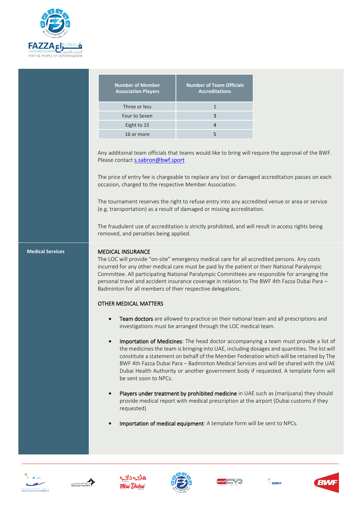![](_page_10_Picture_0.jpeg)

| <b>Number of Member</b><br><b>Association Players</b> | <b>Number of Team Officials</b><br><b>Accreditations</b> |
|-------------------------------------------------------|----------------------------------------------------------|
| Three or less                                         |                                                          |
| Four to Seven                                         | 3                                                        |
| Eight to 15                                           |                                                          |
| 16 or more                                            |                                                          |
|                                                       |                                                          |

Any additional team officials that teams would like to bring will require the approval of the BWF. Please contact [s.sabron@bwf.sport](mailto:s.sabron@bwf.sport)

The price of entry fee is chargeable to replace any lost or damaged accreditation passes on each occasion, charged to the respective Member Association.

The tournament reserves the right to refuse entry into any accredited venue or area or service (e.g. transportation) as a result of damaged or missing accreditation.

The fraudulent use of accreditation is strictly prohibited, and will result in access rights being removed, and penalties being applied.

### **Medical Services MEDICAL INSURANCE**

The LOC will provide "on-site" emergency medical care for all accredited persons. Any costs incurred for any other medical care must be paid by the patient or their National Paralympic Committee. All participating National Paralympic Committees are responsible for arranging the personal travel and accident insurance coverage in relation to The BWF 4th Fazza Dubai Para – Badminton for all members of their respective delegations.

### OTHER MEDICAL MATTERS

- Team doctors are allowed to practice on their national team and all prescriptions and investigations must be arranged through the LOC medical team.
- Importation of Medicines: The head doctor accompanying a team must provide a list of the medicines the team is bringing into UAE, including dosages and quantities. The list will constitute a statement on behalf of the Member Federation which will be retained by The BWF 4th Fazza Dubai Para – Badminton Medical Services and will be shared with the UAE Dubai Health Authority or another government body if requested. A template form will be sent soon to NPCs.
- Players under treatment by prohibited medicine in UAE such as (marijuana) they should provide medical report with medical prescription at the airport (Dubai customs if they requested)
- Importation of medical equipment: A template form will be sent to NPCs.

![](_page_10_Picture_13.jpeg)

![](_page_10_Picture_14.jpeg)

![](_page_10_Picture_15.jpeg)

![](_page_10_Picture_16.jpeg)

![](_page_10_Picture_17.jpeg)

![](_page_10_Picture_18.jpeg)

![](_page_10_Picture_19.jpeg)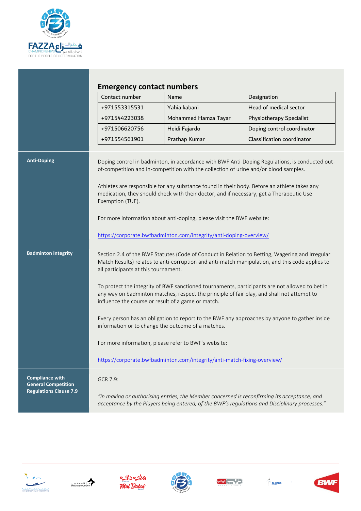![](_page_11_Picture_0.jpeg)

|                                                      | Contact number                                                                                                                                                                                                                                     | Name                                                                                                                                                                                                                                                                                                                                                                                                                           | Designation                                                                                 |  |
|------------------------------------------------------|----------------------------------------------------------------------------------------------------------------------------------------------------------------------------------------------------------------------------------------------------|--------------------------------------------------------------------------------------------------------------------------------------------------------------------------------------------------------------------------------------------------------------------------------------------------------------------------------------------------------------------------------------------------------------------------------|---------------------------------------------------------------------------------------------|--|
|                                                      | +971553315531                                                                                                                                                                                                                                      | Yahia kabani                                                                                                                                                                                                                                                                                                                                                                                                                   | Head of medical sector                                                                      |  |
|                                                      | +971544223038                                                                                                                                                                                                                                      | Mohammed Hamza Tayar                                                                                                                                                                                                                                                                                                                                                                                                           | Physiotherapy Specialist                                                                    |  |
|                                                      | +971506620756                                                                                                                                                                                                                                      | Heidi Fajardo                                                                                                                                                                                                                                                                                                                                                                                                                  | Doping control coordinator                                                                  |  |
|                                                      | +971554561901                                                                                                                                                                                                                                      | Prathap Kumar                                                                                                                                                                                                                                                                                                                                                                                                                  | Classification coordinator                                                                  |  |
|                                                      | Exemption (TUE).                                                                                                                                                                                                                                   | of-competition and in-competition with the collection of urine and/or blood samples.<br>Athletes are responsible for any substance found in their body. Before an athlete takes any<br>medication, they should check with their doctor, and if necessary, get a Therapeutic Use<br>For more information about anti-doping, please visit the BWF website:<br>https://corporate.bwfbadminton.com/integrity/anti-doping-overview/ |                                                                                             |  |
| <b>Badminton Integrity</b>                           | Section 2.4 of the BWF Statutes (Code of Conduct in Relation to Betting, Wagering and Irregular<br>Match Results) relates to anti-corruption and anti-match manipulation, and this code applies to<br>all participants at this tournament.         |                                                                                                                                                                                                                                                                                                                                                                                                                                |                                                                                             |  |
|                                                      | To protect the integrity of BWF sanctioned tournaments, participants are not allowed to bet in<br>any way on badminton matches, respect the principle of fair play, and shall not attempt to<br>influence the course or result of a game or match. |                                                                                                                                                                                                                                                                                                                                                                                                                                |                                                                                             |  |
|                                                      | Every person has an obligation to report to the BWF any approaches by anyone to gather inside<br>information or to change the outcome of a matches.                                                                                                |                                                                                                                                                                                                                                                                                                                                                                                                                                |                                                                                             |  |
|                                                      | For more information, please refer to BWF's website:                                                                                                                                                                                               |                                                                                                                                                                                                                                                                                                                                                                                                                                |                                                                                             |  |
|                                                      |                                                                                                                                                                                                                                                    | https://corporate.bwfbadminton.com/integrity/anti-match-fixing-overview/                                                                                                                                                                                                                                                                                                                                                       |                                                                                             |  |
| <b>Compliance with</b><br><b>General Competition</b> | GCR 7.9:                                                                                                                                                                                                                                           |                                                                                                                                                                                                                                                                                                                                                                                                                                |                                                                                             |  |
| <b>Regulations Clause 7.9</b>                        |                                                                                                                                                                                                                                                    | acceptance by the Players being entered, of the BWF's regulations and Disciplinary processes."                                                                                                                                                                                                                                                                                                                                 | "In making or authorising entries, the Member concerned is reconfirming its acceptance, and |  |

![](_page_11_Picture_2.jpeg)

![](_page_11_Picture_3.jpeg)

![](_page_11_Picture_4.jpeg)

![](_page_11_Picture_5.jpeg)

![](_page_11_Picture_6.jpeg)

![](_page_11_Picture_7.jpeg)

![](_page_11_Picture_8.jpeg)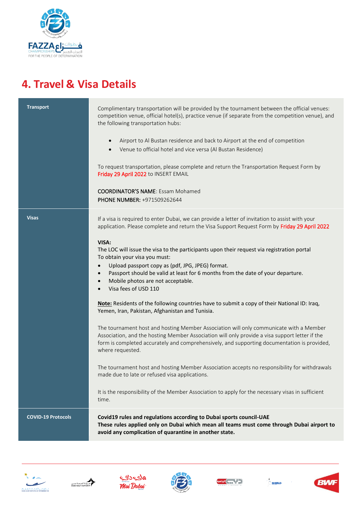![](_page_12_Picture_0.jpeg)

### **4. Travel & Visa Details**

| <b>Transport</b>          | Complimentary transportation will be provided by the tournament between the official venues:<br>competition venue, official hotel(s), practice venue (if separate from the competition venue), and<br>the following transportation hubs:<br>Airport to Al Bustan residence and back to Airport at the end of competition<br>$\bullet$<br>Venue to official hotel and vice versa (Al Bustan Residence)<br>$\bullet$<br>To request transportation, please complete and return the Transportation Request Form by<br>Friday 29 April 2022 to INSERT EMAIL<br><b>COORDINATOR'S NAME:</b> Essam Mohamed<br>PHONE NUMBER: +971509262644                                                                                                                                                                                                                                                                                                                                                                                                              |
|---------------------------|------------------------------------------------------------------------------------------------------------------------------------------------------------------------------------------------------------------------------------------------------------------------------------------------------------------------------------------------------------------------------------------------------------------------------------------------------------------------------------------------------------------------------------------------------------------------------------------------------------------------------------------------------------------------------------------------------------------------------------------------------------------------------------------------------------------------------------------------------------------------------------------------------------------------------------------------------------------------------------------------------------------------------------------------|
| <b>Visas</b>              | If a visa is required to enter Dubai, we can provide a letter of invitation to assist with your<br>application. Please complete and return the Visa Support Request Form by Friday 29 April 2022<br>VISA:<br>The LOC will issue the visa to the participants upon their request via registration portal<br>To obtain your visa you must:<br>Upload passport copy as (pdf, JPG, JPEG) format.<br>$\bullet$<br>Passport should be valid at least for 6 months from the date of your departure.<br>$\bullet$<br>Mobile photos are not acceptable.<br>$\bullet$<br>Visa fees of USD 110<br>$\bullet$<br>Note: Residents of the following countries have to submit a copy of their National ID: Iraq,<br>Yemen, Iran, Pakistan, Afghanistan and Tunisia.<br>The tournament host and hosting Member Association will only communicate with a Member<br>Association, and the hosting Member Association will only provide a visa support letter if the<br>form is completed accurately and comprehensively, and supporting documentation is provided, |
|                           | where requested.<br>The tournament host and hosting Member Association accepts no responsibility for withdrawals<br>made due to late or refused visa applications.<br>It is the responsibility of the Member Association to apply for the necessary visas in sufficient<br>time.                                                                                                                                                                                                                                                                                                                                                                                                                                                                                                                                                                                                                                                                                                                                                               |
| <b>COVID-19 Protocols</b> | Covid19 rules and regulations according to Dubai sports council-UAE<br>These rules applied only on Dubai which mean all teams must come through Dubai airport to<br>avoid any complication of quarantine in another state.                                                                                                                                                                                                                                                                                                                                                                                                                                                                                                                                                                                                                                                                                                                                                                                                                     |

![](_page_12_Picture_3.jpeg)

![](_page_12_Picture_4.jpeg)

![](_page_12_Picture_5.jpeg)

![](_page_12_Picture_6.jpeg)

![](_page_12_Picture_7.jpeg)

![](_page_12_Picture_8.jpeg)

![](_page_12_Picture_9.jpeg)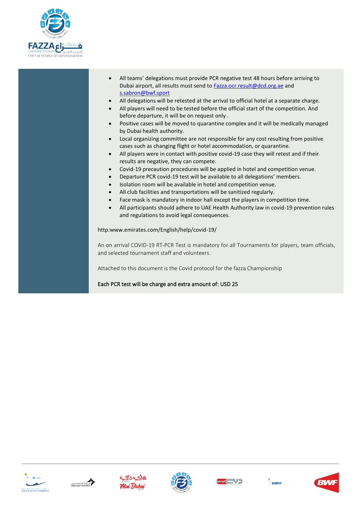![](_page_13_Picture_0.jpeg)

- All teams' delegations must provide PCR negative test 48 hours before arriving to Dubai airport, all results must send to **Fazza.ocr.result@dcd.org.ae** and [s.sabron@bwf.sport](mailto:s.sabron@bwf.sport)
- All delegations will be retested at the arrival to official hotel at a separate charge.
- All players will need to be tested before the official start of the competition. And before departure, it will be on request only .
- Positive cases will be moved to quarantine complex and it will be medically managed by Dubai health authority.
- Local organizing committee are not responsible for any cost resulting from positive cases such as changing flight or hotel accommodation, or quarantine.
- All players were in contact with positive covid-19 case they will retest and if their results are negative, they can compete.
- Covid-19 precaution procedures will be applied in hotel and competition venue.
- Departure PCR covid-19 test will be available to all delegations' members.
- Isolation room will be available in hotel and competition venue.
- All club facilities and transportations will be sanitized regularly.
- Face mask is mandatory in indoor hall except the players in competition time.
- All participants should adhere to UAE Health Authority law in covid-19 prevention rules and regulations to avoid legal consequences.

http:www.emirates.com/English/help/covid-19/

An on arrival COVID-19 RT-PCR Test is mandatory for all Tournaments for players, team officials, and selected tournament staff and volunteers.

Attached to this document is the Covid protocol for the fazza Championship

Each PCR test will be charge and extra amount of: USD 25

![](_page_13_Picture_17.jpeg)

![](_page_13_Picture_18.jpeg)

![](_page_13_Picture_19.jpeg)

![](_page_13_Picture_20.jpeg)

![](_page_13_Picture_21.jpeg)

![](_page_13_Picture_22.jpeg)

![](_page_13_Picture_23.jpeg)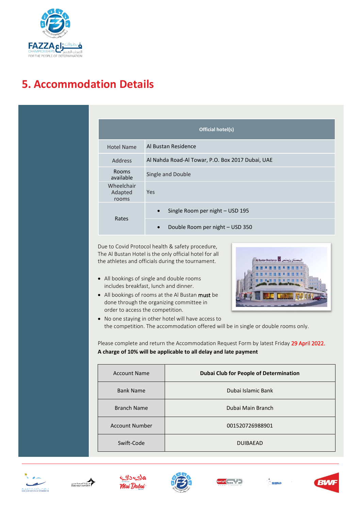![](_page_14_Picture_0.jpeg)

### **5. Accommodation Details**

|                                | Official hotel(s)                                |
|--------------------------------|--------------------------------------------------|
| <b>Hotel Name</b>              | Al Bustan Residence                              |
| <b>Address</b>                 | Al Nahda Road-Al Towar, P.O. Box 2017 Dubai, UAE |
| <b>Rooms</b><br>available      | Single and Double                                |
| Wheelchair<br>Adapted<br>rooms | Yes                                              |
| Rates                          | Single Room per night - USD 195                  |
|                                | Double Room per night - USD 350<br>$\bullet$     |

Due to Covid Protocol health & safety procedure, The Al Bustan Hotel is the only official hotel for all the athletes and officials during the tournament.

- All bookings of single and double rooms includes breakfast, lunch and dinner.
- All bookings of rooms at the Al Bustan must be done through the organizing committee in order to access the competition.

![](_page_14_Picture_6.jpeg)

• No one staying in other hotel will have access to the competition. The accommodation offered will be in single or double rooms only.

Please complete and return the Accommodation Request Form by latest Friday 29 April 2022. **A charge of 10% will be applicable to all delay and late payment** 

| <b>Account Name</b>   | <b>Dubai Club for People of Determination</b> |
|-----------------------|-----------------------------------------------|
| <b>Bank Name</b>      | Dubai Islamic Bank                            |
| <b>Branch Name</b>    | Dubai Main Branch                             |
| <b>Account Number</b> | 001520726988901                               |
| Swift-Code            | <b>DUIBAEAD</b>                               |

![](_page_14_Picture_10.jpeg)

![](_page_14_Picture_11.jpeg)

![](_page_14_Picture_12.jpeg)

![](_page_14_Picture_13.jpeg)

![](_page_14_Picture_14.jpeg)

![](_page_14_Picture_15.jpeg)

![](_page_14_Picture_16.jpeg)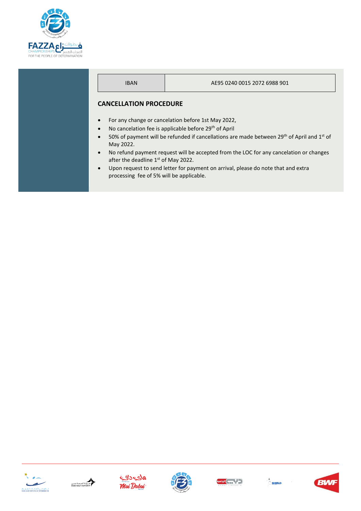![](_page_15_Picture_0.jpeg)

### IBAN AE95 0240 0015 2072 6988 901 **CANCELLATION PROCEDURE** • For any change or cancelation before 1st May 2022, No cancelation fee is applicable before 29<sup>th</sup> of April 50% of payment will be refunded if cancellations are made between 29<sup>th</sup> of April and 1<sup>st</sup> of May 2022. • No refund payment request will be accepted from the LOC for any cancelation or changes after the deadline 1<sup>st</sup> of May 2022. Upon request to send letter for payment on arrival, please do note that and extra processing fee of 5% will be applicable.

![](_page_15_Picture_2.jpeg)

![](_page_15_Picture_3.jpeg)

![](_page_15_Picture_4.jpeg)

![](_page_15_Picture_5.jpeg)

![](_page_15_Picture_6.jpeg)

![](_page_15_Picture_8.jpeg)